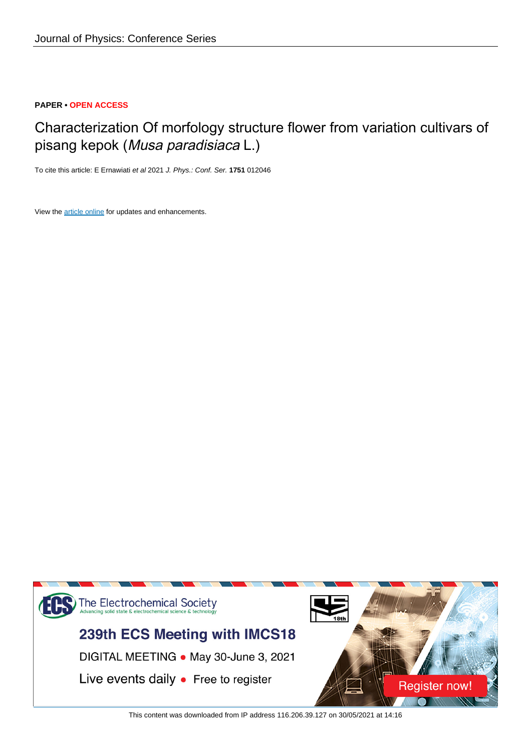# **PAPER • OPEN ACCESS**

# Characterization Of morfology structure flower from variation cultivars of pisang kepok (Musa paradisiaca L.)

To cite this article: E Ernawiati et al 2021 J. Phys.: Conf. Ser. **1751** 012046

View the [article online](https://doi.org/10.1088/1742-6596/1751/1/012046) for updates and enhancements.



This content was downloaded from IP address 116.206.39.127 on 30/05/2021 at 14:16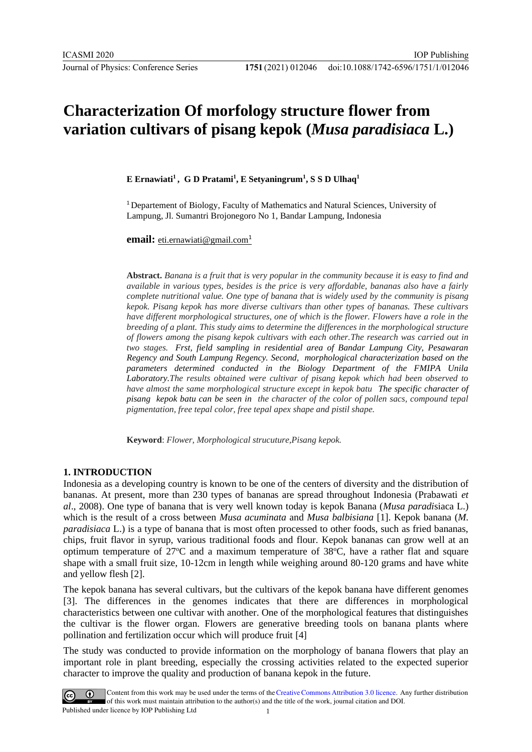# **Characterization Of morfology structure flower from variation cultivars of pisang kepok (***Musa paradisiaca* **L.)**

**E Ernawiati<sup>1</sup> , G D Pratami<sup>1</sup> , E Setyaningrum<sup>1</sup> , S S D Ulhaq<sup>1</sup>**

<sup>1</sup>Departement of Biology, Faculty of Mathematics and Natural Sciences, University of Lampung, Jl. Sumantri Brojonegoro No 1, Bandar Lampung, Indonesia

**email:** [eti.ernawiati@gmail.com](mailto:eti.ernawiati@gmail.com1)<sup>[1](mailto:eti.ernawiati@gmail.com1)</sup>

**Abstract.** *Banana is a fruit that is very popular in the community because it is easy to find and available in various types, besides is the price is very affordable, bananas also have a fairly complete nutritional value. One type of banana that is widely used by the community is pisang kepok. Pisang kepok has more diverse cultivars than other types of bananas. These cultivars have different morphological structures, one of which is the flower. Flowers have a role in the breeding of a plant. This study aims to determine the differences in the morphological structure of flowers among the pisang kepok cultivars with each other.The research was carried out in two stages. Frst, field sampling in residential area of Bandar Lampung City, Pesawaran Regency and South Lampung Regency. Second, morphological characterization based on the parameters determined conducted in the Biology Department of the FMIPA Unila Laboratory.The results obtained were cultivar of pisang kepok which had been observed to have almost the same morphological structure except in kepok batu The specific character of pisang kepok batu can be seen in the character of the color of pollen sacs, compound tepal pigmentation, free tepal color, free tepal apex shape and pistil shape.*

**Keyword**: *Flower, Morphological strucuture,Pisang kepok.*

# **1. INTRODUCTION**

Indonesia as a developing country is known to be one of the centers of diversity and the distribution of bananas. At present, more than 230 types of bananas are spread throughout Indonesia (Prabawati *et al*., 2008). One type of banana that is very well known today is kepok Banana (*Musa paradi*siaca L.) which is the result of a cross between *Musa acuminata* and *Musa balbisiana* [1]. Kepok banana (*M. paradisiaca* L.) is a type of banana that is most often processed to other foods, such as fried bananas, chips, fruit flavor in syrup, various traditional foods and flour. Kepok bananas can grow well at an optimum temperature of  $27^{\circ}$ C and a maximum temperature of  $38^{\circ}$ C, have a rather flat and square shape with a small fruit size, 10-12cm in length while weighing around 80-120 grams and have white and yellow flesh [2].

The kepok banana has several cultivars, but the cultivars of the kepok banana have different genomes [3]. The differences in the genomes indicates that there are differences in morphological characteristics between one cultivar with another. One of the morphological features that distinguishes the cultivar is the flower organ. Flowers are generative breeding tools on banana plants where pollination and fertilization occur which will produce fruit [4]

The study was conducted to provide information on the morphology of banana flowers that play an important role in plant breeding, especially the crossing activities related to the expected superior character to improve the quality and production of banana kepok in the future.

Content from this work may be used under the terms of the Creative Commons Attribution 3.0 licence. Any further distribution of this work must maintain attribution to the author(s) and the title of the work, journal citation and DOI. Published under licence by IOP Publishing Ltd 1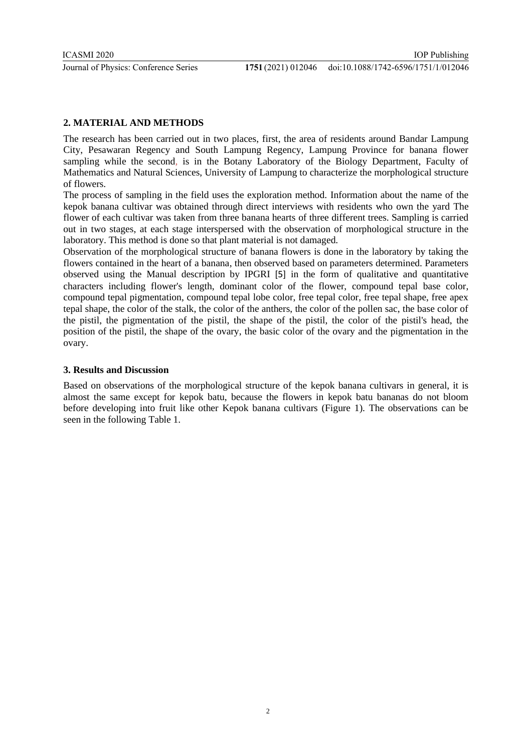# **2. MATERIAL AND METHODS**

The research has been carried out in two places, first, the area of residents around Bandar Lampung City, Pesawaran Regency and South Lampung Regency, Lampung Province for banana flower sampling while the second, is in the Botany Laboratory of the Biology Department, Faculty of Mathematics and Natural Sciences, University of Lampung to characterize the morphological structure of flowers.

The process of sampling in the field uses the exploration method. Information about the name of the kepok banana cultivar was obtained through direct interviews with residents who own the yard The flower of each cultivar was taken from three banana hearts of three different trees. Sampling is carried out in two stages, at each stage interspersed with the observation of morphological structure in the laboratory. This method is done so that plant material is not damaged.

Observation of the morphological structure of banana flowers is done in the laboratory by taking the flowers contained in the heart of a banana, then observed based on parameters determined. Parameters observed using the Manual description by IPGRI [5] in the form of qualitative and quantitative characters including flower's length, dominant color of the flower, compound tepal base color, compound tepal pigmentation, compound tepal lobe color, free tepal color, free tepal shape, free apex tepal shape, the color of the stalk, the color of the anthers, the color of the pollen sac, the base color of the pistil, the pigmentation of the pistil, the shape of the pistil, the color of the pistil's head, the position of the pistil, the shape of the ovary, the basic color of the ovary and the pigmentation in the ovary.

# **3. Results and Discussion**

Based on observations of the morphological structure of the kepok banana cultivars in general, it is almost the same except for kepok batu, because the flowers in kepok batu bananas do not bloom before developing into fruit like other Kepok banana cultivars (Figure 1). The observations can be seen in the following Table 1.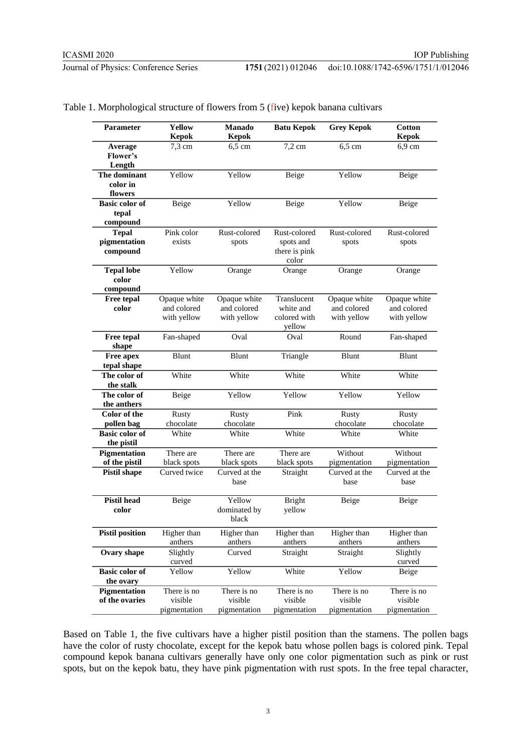#### doi:10.1088/1742-6596/1751/1/012046

|  |  |  | Table 1. Morphological structure of flowers from 5 (five) kepok banana cultivars |  |
|--|--|--|----------------------------------------------------------------------------------|--|
|--|--|--|----------------------------------------------------------------------------------|--|

| <b>Parameter</b>                           | Yellow<br><b>Kepok</b>                     | Manado<br><b>Kepok</b>                     | <b>Batu Kepok</b>                                   | <b>Grey Kepok</b>                          | <b>Cotton</b><br><b>Kepok</b>              |
|--------------------------------------------|--------------------------------------------|--------------------------------------------|-----------------------------------------------------|--------------------------------------------|--------------------------------------------|
| Average<br>Flower's<br>Length              | $7,3$ cm                                   | $6,5$ cm                                   | $7,2$ cm                                            | $6,5$ cm                                   | 6,9 cm                                     |
| The dominant<br>color in<br>flowers        | Yellow                                     | Yellow                                     | Beige                                               | Yellow                                     | Beige                                      |
| <b>Basic color of</b><br>tepal<br>compound | Beige                                      | Yellow                                     | Beige                                               | Yellow                                     | Beige                                      |
| <b>Tepal</b><br>pigmentation<br>compound   | Pink color<br>exists                       | Rust-colored<br>spots                      | Rust-colored<br>spots and<br>there is pink<br>color | Rust-colored<br>spots                      | Rust-colored<br>spots                      |
| <b>Tepal lobe</b><br>color<br>compound     | Yellow                                     | Orange                                     | Orange                                              | Orange                                     | Orange                                     |
| <b>Free tepal</b><br>color                 | Opaque white<br>and colored<br>with yellow | Opaque white<br>and colored<br>with yellow | Translucent<br>white and<br>colored with<br>yellow  | Opaque white<br>and colored<br>with yellow | Opaque white<br>and colored<br>with yellow |
| Free tepal<br>shape                        | Fan-shaped                                 | Oval                                       | Oval                                                | Round                                      | Fan-shaped                                 |
| Free apex<br>tepal shape                   | Blunt                                      | Blunt                                      | Triangle                                            | Blunt                                      | Blunt                                      |
| The color of<br>the stalk                  | White                                      | White                                      | White                                               | White                                      | White                                      |
| The color of<br>the anthers                | Beige                                      | Yellow                                     | Yellow                                              | Yellow                                     | Yellow                                     |
| <b>Color</b> of the<br>pollen bag          | <b>Rusty</b><br>chocolate                  | Rusty<br>chocolate                         | Pink                                                | <b>Rusty</b><br>chocolate                  | <b>Rusty</b><br>chocolate                  |
| <b>Basic color of</b><br>the pistil        | White                                      | White                                      | White                                               | White                                      | White                                      |
| Pigmentation<br>of the pistil              | There are<br>black spots                   | There are<br>black spots                   | There are<br>black spots                            | Without<br>pigmentation                    | Without<br>pigmentation                    |
| <b>Pistil shape</b>                        | Curved twice                               | Curved at the<br>base                      | Straight                                            | Curved at the<br>base                      | Curved at the<br>base                      |
| <b>Pistil head</b><br>color                | Beige                                      | Yellow<br>dominated by<br>black            | <b>Bright</b><br>yellow                             | Beige                                      | Beige                                      |
| <b>Pistil position</b>                     | Higher than<br>anthers                     | Higher than<br>anthers                     | Higher than<br>anthers                              | Higher than<br>anthers                     | Higher than<br>anthers                     |
| Ovary shape                                | Slightly<br>curved                         | Curved                                     | Straight                                            | Straight                                   | Slightly<br>curved                         |
| <b>Basic color of</b>                      | Yellow                                     | Yellow                                     | White                                               | Yellow                                     | Beige                                      |
| the ovary                                  |                                            |                                            |                                                     |                                            |                                            |
| <b>Pigmentation</b><br>of the ovaries      | There is no<br>visible<br>pigmentation     | There is no<br>visible<br>pigmentation     | There is no<br>visible<br>pigmentation              | There is no<br>visible<br>pigmentation     | There is no<br>visible<br>pigmentation     |

Based on Table 1, the five cultivars have a higher pistil position than the stamens. The pollen bags have the color of rusty chocolate, except for the kepok batu whose pollen bags is colored pink. Tepal compound kepok banana cultivars generally have only one color pigmentation such as pink or rust spots, but on the kepok batu, they have pink pigmentation with rust spots. In the free tepal character,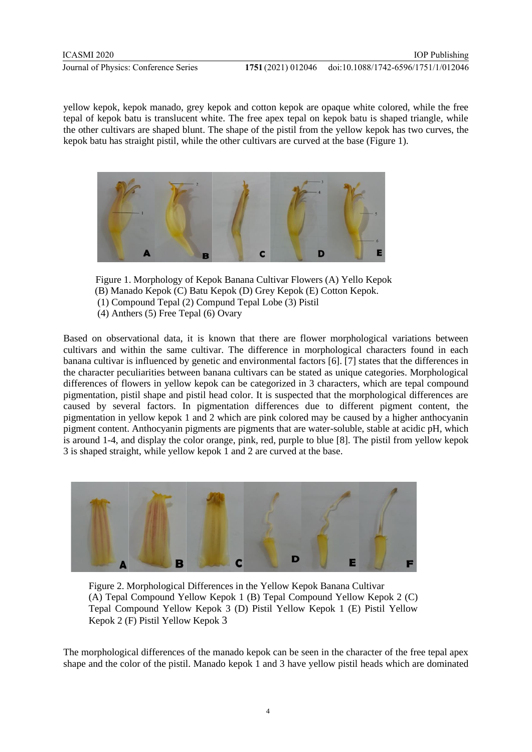yellow kepok, kepok manado, grey kepok and cotton kepok are opaque white colored, while the free tepal of kepok batu is translucent white. The free apex tepal on kepok batu is shaped triangle, while the other cultivars are shaped blunt. The shape of the pistil from the yellow kepok has two curves, the kepok batu has straight pistil, while the other cultivars are curved at the base (Figure 1).



Figure 1. Morphology of Kepok Banana Cultivar Flowers (A) Yello Kepok (B) Manado Kepok (C) Batu Kepok (D) Grey Kepok (E) Cotton Kepok. (1) Compound Tepal (2) Compund Tepal Lobe (3) Pistil

(4) Anthers (5) Free Tepal (6) Ovary

Based on observational data, it is known that there are flower morphological variations between cultivars and within the same cultivar. The difference in morphological characters found in each banana cultivar is influenced by genetic and environmental factors [6]. [7] states that the differences in the character peculiarities between banana cultivars can be stated as unique categories. Morphological differences of flowers in yellow kepok can be categorized in 3 characters, which are tepal compound pigmentation, pistil shape and pistil head color. It is suspected that the morphological differences are caused by several factors. In pigmentation differences due to different pigment content, the pigmentation in yellow kepok 1 and 2 which are pink colored may be caused by a higher anthocyanin pigment content. Anthocyanin pigments are pigments that are water-soluble, stable at acidic pH, which is around 1-4, and display the color orange, pink, red, purple to blue [8]. The pistil from yellow kepok 3 is shaped straight, while yellow kepok 1 and 2 are curved at the base.



Figure 2. Morphological Differences in the Yellow Kepok Banana Cultivar (A) Tepal Compound Yellow Kepok 1 (B) Tepal Compound Yellow Kepok 2 (C) Tepal Compound Yellow Kepok 3 (D) Pistil Yellow Kepok 1 (E) Pistil Yellow Kepok 2 (F) Pistil Yellow Kepok 3

The morphological differences of the manado kepok can be seen in the character of the free tepal apex shape and the color of the pistil. Manado kepok 1 and 3 have yellow pistil heads which are dominated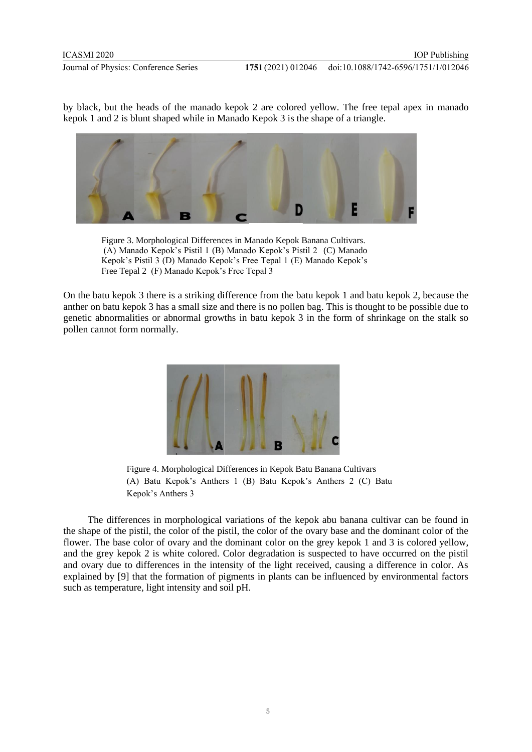IOP Publishing

by black, but the heads of the manado kepok 2 are colored yellow. The free tepal apex in manado kepok 1 and 2 is blunt shaped while in Manado Kepok 3 is the shape of a triangle.



Figure 3. Morphological Differences in Manado Kepok Banana Cultivars. (A) Manado Kepok's Pistil 1 (B) Manado Kepok's Pistil 2 (C) Manado Kepok's Pistil 3 (D) Manado Kepok's Free Tepal 1 (E) Manado Kepok's Free Tepal 2 (F) Manado Kepok's Free Tepal 3

On the batu kepok 3 there is a striking difference from the batu kepok 1 and batu kepok 2, because the anther on batu kepok 3 has a small size and there is no pollen bag. This is thought to be possible due to genetic abnormalities or abnormal growths in batu kepok 3 in the form of shrinkage on the stalk so pollen cannot form normally.



Figure 4. Morphological Differences in Kepok Batu Banana Cultivars (A) Batu Kepok's Anthers 1 (B) Batu Kepok's Anthers 2 (C) Batu Kepok's Anthers 3

The differences in morphological variations of the kepok abu banana cultivar can be found in the shape of the pistil, the color of the pistil, the color of the ovary base and the dominant color of the flower. The base color of ovary and the dominant color on the grey kepok 1 and 3 is colored yellow, and the grey kepok 2 is white colored. Color degradation is suspected to have occurred on the pistil and ovary due to differences in the intensity of the light received, causing a difference in color. As explained by [9] that the formation of pigments in plants can be influenced by environmental factors such as temperature, light intensity and soil pH.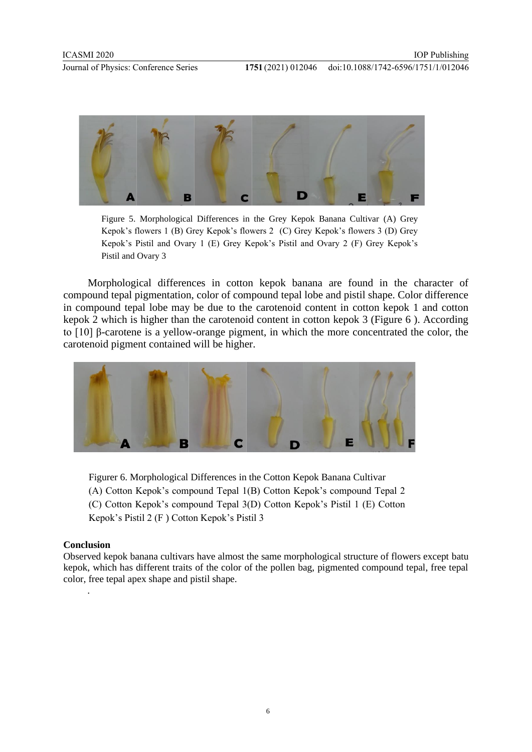

Figure 5. Morphological Differences in the Grey Kepok Banana Cultivar (A) Grey Kepok's flowers 1 (B) Grey Kepok's flowers 2 (C) Grey Kepok's flowers 3 (D) Grey Kepok's Pistil and Ovary 1 (E) Grey Kepok's Pistil and Ovary 2 (F) Grey Kepok's Pistil and Ovary 3

Morphological differences in cotton kepok banana are found in the character of compound tepal pigmentation, color of compound tepal lobe and pistil shape. Color difference in compound tepal lobe may be due to the carotenoid content in cotton kepok 1 and cotton kepok 2 which is higher than the carotenoid content in cotton kepok 3 (Figure 6 ). According to [10] β-carotene is a yellow-orange pigment, in which the more concentrated the color, the carotenoid pigment contained will be higher.



Figurer 6. Morphological Differences in the Cotton Kepok Banana Cultivar (A) Cotton Kepok's compound Tepal 1(B) Cotton Kepok's compound Tepal 2 (C) Cotton Kepok's compound Tepal 3(D) Cotton Kepok's Pistil 1 (E) Cotton Kepok's Pistil 2 (F ) Cotton Kepok's Pistil 3

# **Conclusion**

.

Observed kepok banana cultivars have almost the same morphological structure of flowers except batu kepok, which has different traits of the color of the pollen bag, pigmented compound tepal, free tepal color, free tepal apex shape and pistil shape.